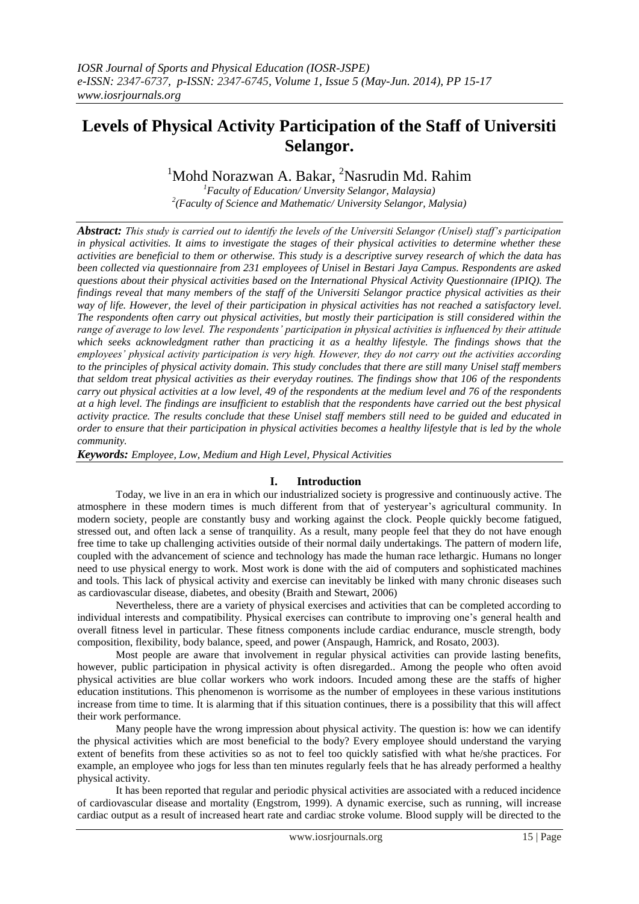# **Levels of Physical Activity Participation of the Staff of Universiti Selangor.**

<sup>1</sup>Mohd Norazwan A. Bakar, <sup>2</sup>Nasrudin Md. Rahim<br><sup>1</sup>*Faculty of Education/ Unversity Selangor, Malaysia*)

*2 (Faculty of Science and Mathematic/ University Selangor, Malysia)*

*Abstract: This study is carried out to identify the levels of the Universiti Selangor (Unisel) staff's participation in physical activities. It aims to investigate the stages of their physical activities to determine whether these activities are beneficial to them or otherwise. This study is a descriptive survey research of which the data has been collected via questionnaire from 231 employees of Unisel in Bestari Jaya Campus. Respondents are asked questions about their physical activities based on the International Physical Activity Questionnaire (IPIQ). The findings reveal that many members of the staff of the Universiti Selangor practice physical activities as their way of life. However, the level of their participation in physical activities has not reached a satisfactory level. The respondents often carry out physical activities, but mostly their participation is still considered within the range of average to low level. The respondents' participation in physical activities is influenced by their attitude which seeks acknowledgment rather than practicing it as a healthy lifestyle. The findings shows that the employees' physical activity participation is very high. However, they do not carry out the activities according to the principles of physical activity domain. This study concludes that there are still many Unisel staff members that seldom treat physical activities as their everyday routines. The findings show that 106 of the respondents carry out physical activities at a low level, 49 of the respondents at the medium level and 76 of the respondents at a high level. The findings are insufficient to establish that the respondents have carried out the best physical activity practice. The results conclude that these Unisel staff members still need to be guided and educated in order to ensure that their participation in physical activities becomes a healthy lifestyle that is led by the whole community.* 

*Keywords: Employee, Low, Medium and High Level, Physical Activities*

## **I. Introduction**

Today, we live in an era in which our industrialized society is progressive and continuously active. The atmosphere in these modern times is much different from that of yesteryear's agricultural community. In modern society, people are constantly busy and working against the clock. People quickly become fatigued, stressed out, and often lack a sense of tranquility. As a result, many people feel that they do not have enough free time to take up challenging activities outside of their normal daily undertakings. The pattern of modern life, coupled with the advancement of science and technology has made the human race lethargic. Humans no longer need to use physical energy to work. Most work is done with the aid of computers and sophisticated machines and tools. This lack of physical activity and exercise can inevitably be linked with many chronic diseases such as cardiovascular disease, diabetes, and obesity (Braith and Stewart, 2006)

Nevertheless, there are a variety of physical exercises and activities that can be completed according to individual interests and compatibility. Physical exercises can contribute to improving one's general health and overall fitness level in particular. These fitness components include cardiac endurance, muscle strength, body composition, flexibility, body balance, speed, and power (Anspaugh, Hamrick, and Rosato, 2003).

Most people are aware that involvement in regular physical activities can provide lasting benefits, however, public participation in physical activity is often disregarded.. Among the people who often avoid physical activities are blue collar workers who work indoors. Incuded among these are the staffs of higher education institutions. This phenomenon is worrisome as the number of employees in these various institutions increase from time to time. It is alarming that if this situation continues, there is a possibility that this will affect their work performance.

Many people have the wrong impression about physical activity. The question is: how we can identify the physical activities which are most beneficial to the body? Every employee should understand the varying extent of benefits from these activities so as not to feel too quickly satisfied with what he/she practices. For example, an employee who jogs for less than ten minutes regularly feels that he has already performed a healthy physical activity.

It has been reported that regular and periodic physical activities are associated with a reduced incidence of cardiovascular disease and mortality (Engstrom, 1999). A dynamic exercise, such as running, will increase cardiac output as a result of increased heart rate and cardiac stroke volume. Blood supply will be directed to the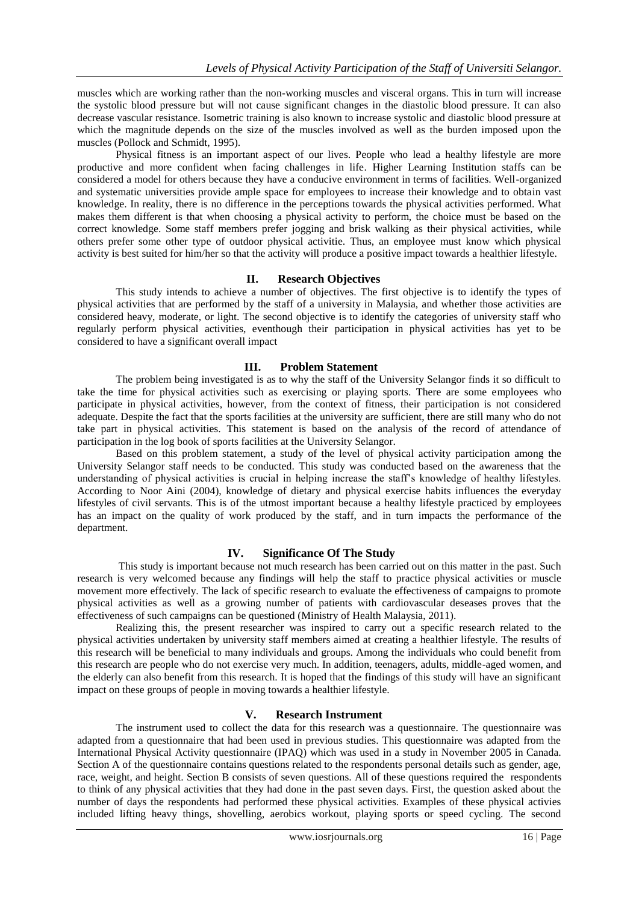muscles which are working rather than the non-working muscles and visceral organs. This in turn will increase the systolic blood pressure but will not cause significant changes in the diastolic blood pressure. It can also decrease vascular resistance. Isometric training is also known to increase systolic and diastolic blood pressure at which the magnitude depends on the size of the muscles involved as well as the burden imposed upon the muscles (Pollock and Schmidt, 1995).

Physical fitness is an important aspect of our lives. People who lead a healthy lifestyle are more productive and more confident when facing challenges in life. Higher Learning Institution staffs can be considered a model for others because they have a conducive environment in terms of facilities. Well-organized and systematic universities provide ample space for employees to increase their knowledge and to obtain vast knowledge. In reality, there is no difference in the perceptions towards the physical activities performed. What makes them different is that when choosing a physical activity to perform, the choice must be based on the correct knowledge. Some staff members prefer jogging and brisk walking as their physical activities, while others prefer some other type of outdoor physical activitie. Thus, an employee must know which physical activity is best suited for him/her so that the activity will produce a positive impact towards a healthier lifestyle.

#### **II. Research Objectives**

This study intends to achieve a number of objectives. The first objective is to identify the types of physical activities that are performed by the staff of a university in Malaysia, and whether those activities are considered heavy, moderate, or light. The second objective is to identify the categories of university staff who regularly perform physical activities, eventhough their participation in physical activities has yet to be considered to have a significant overall impact

#### **III. Problem Statement**

The problem being investigated is as to why the staff of the University Selangor finds it so difficult to take the time for physical activities such as exercising or playing sports. There are some employees who participate in physical activities, however, from the context of fitness, their participation is not considered adequate. Despite the fact that the sports facilities at the university are sufficient, there are still many who do not take part in physical activities. This statement is based on the analysis of the record of attendance of participation in the log book of sports facilities at the University Selangor.

Based on this problem statement, a study of the level of physical activity participation among the University Selangor staff needs to be conducted. This study was conducted based on the awareness that the understanding of physical activities is crucial in helping increase the staff's knowledge of healthy lifestyles. According to Noor Aini (2004), knowledge of dietary and physical exercise habits influences the everyday lifestyles of civil servants. This is of the utmost important because a healthy lifestyle practiced by employees has an impact on the quality of work produced by the staff, and in turn impacts the performance of the department.

#### **IV. Significance Of The Study**

This study is important because not much research has been carried out on this matter in the past. Such research is very welcomed because any findings will help the staff to practice physical activities or muscle movement more effectively. The lack of specific research to evaluate the effectiveness of campaigns to promote physical activities as well as a growing number of patients with cardiovascular deseases proves that the effectiveness of such campaigns can be questioned (Ministry of Health Malaysia, 2011).

Realizing this, the present researcher was inspired to carry out a specific research related to the physical activities undertaken by university staff members aimed at creating a healthier lifestyle. The results of this research will be beneficial to many individuals and groups. Among the individuals who could benefit from this research are people who do not exercise very much. In addition, teenagers, adults, middle-aged women, and the elderly can also benefit from this research. It is hoped that the findings of this study will have an significant impact on these groups of people in moving towards a healthier lifestyle.

#### **V. Research Instrument**

 The instrument used to collect the data for this research was a questionnaire. The questionnaire was adapted from a questionnaire that had been used in previous studies. This questionnaire was adapted from the International Physical Activity questionnaire (IPAQ) which was used in a study in November 2005 in Canada. Section A of the questionnaire contains questions related to the respondents personal details such as gender, age, race, weight, and height. Section B consists of seven questions. All of these questions required the respondents to think of any physical activities that they had done in the past seven days. First, the question asked about the number of days the respondents had performed these physical activities. Examples of these physical activies included lifting heavy things, shovelling, aerobics workout, playing sports or speed cycling. The second